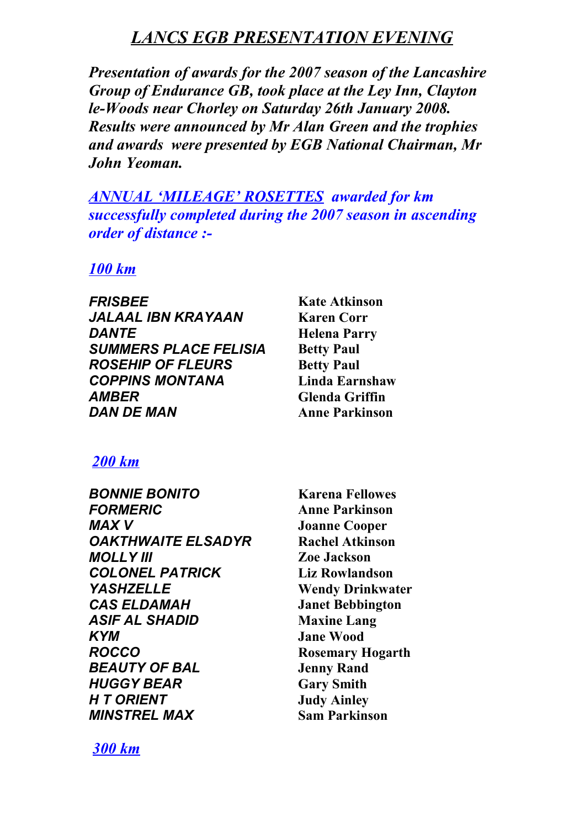# *LANCS EGB PRESENTATION EVENING*

*Presentation of awards for the 2007 season of the Lancashire Group of Endurance GB, took place at the Ley Inn, Clayton le-Woods near Chorley on Saturday 26th January 2008. Results were announced by Mr Alan Green and the trophies and awards were presented by EGB National Chairman, Mr John Yeoman.*

*ANNUAL 'MILEAGE' ROSETTES awarded for km successfully completed during the 2007 season in ascending order of distance :-*

#### *100 km*

*FRISBEE* **Kate Atkinson** *JALAAL IBN KRAYAAN* **Karen Corr** *DANTE* **Helena Parry SUMMERS PLACE FELISIA Betty Paul ROSEHIP OF FLEURS** Betty Paul *COPPINS MONTANA* **Linda Earnshaw** *AMBER* **Glenda Griffin** *DAN DE MAN* **Anne Parkinson**

### *200 km*

| <b>BONNIE BONITO</b>       |
|----------------------------|
| <b>FORMERIC</b>            |
| MAX V                      |
| <b>OAKTHWAITE ELSADYR</b>  |
| <b>MOLLY III</b>           |
| <b>COLONEL PATRICK</b>     |
| <b>YASHZELLE</b>           |
| <b>CAS ELDAMAH</b>         |
| <b>ASIF AL SHADID</b>      |
| KYM                        |
| <b>ROCCO</b>               |
| <b>BEAUTY OF BAL</b>       |
| <b>HUGGY BEAR</b>          |
| <b>H T ORIENT</b>          |
| <i><b>MINSTREL MAX</b></i> |
|                            |

*BONNIE BONITO* **Karena Fellowes** *FORMERIC* **Anne Parkinson Joanne Cooper Rachel Atkinson** *MOLLY III* **Zoe Jackson** *COLONEL PATRICK* **Liz Rowlandson Wendy Drinkwater** *CAS ELDAMAH* **Janet Bebbington Maxine Lang** *Jane Wood ROCCO* **Rosemary Hogarth** *Beau* **Rand Gary Smith** *Judy Ainley MINSTREL MAX* **Sam Parkinson**

*300 km*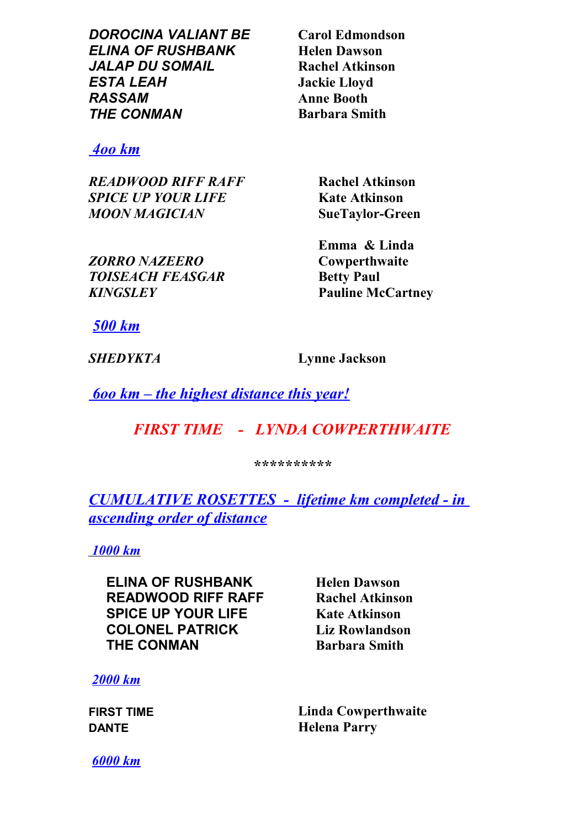*DOROCINA VALIANT BE* **Carol Edmondson** *ELINA OF RUSHBANK* **Helen Dawson** *JALAP DU SOMAIL* **Rachel Atkinson** *ESTA LEAH* **Jackie Lloyd** *RASSAM* **Anne Booth** *THE CONMAN* **Barbara Smith**

#### *4oo km*

*READWOOD RIFF RAFF* **Rachel Atkinson** *SPICE UP YOUR LIFE* **Kate Atkinson** *MOON MAGICIAN* **SueTaylor-Green**

*ZORRO NAZEERO* **TOISEACH FEASGAR Betty Paul** *KINGSLEY* **Pauline McCartney**

**Emma & Linda Cowperthwaite** 

*500 km*

*SHEDYKTA* **Lynne Jackson**

 *6oo km – the highest distance this year!*

# *FIRST TIME - LYNDA COWPERTHWAITE*

*\*\*\*\*\*\*\*\*\*\**

*CUMULATIVE ROSETTES - lifetime km completed - in ascending order of distance*

 *1000 km*

**ELINA OF RUSHBANK Helen Dawson READWOOD RIFF RAFF Rachel Atkinson SPICE UP YOUR LIFE Kate Atkinson COLONEL PATRICK Liz Rowlandson THE CONMAN Barbara Smith** 

*2000 km*

**FIRST TIME Linda Cowperthwaite DANTE Helena Parry**

*6000 km*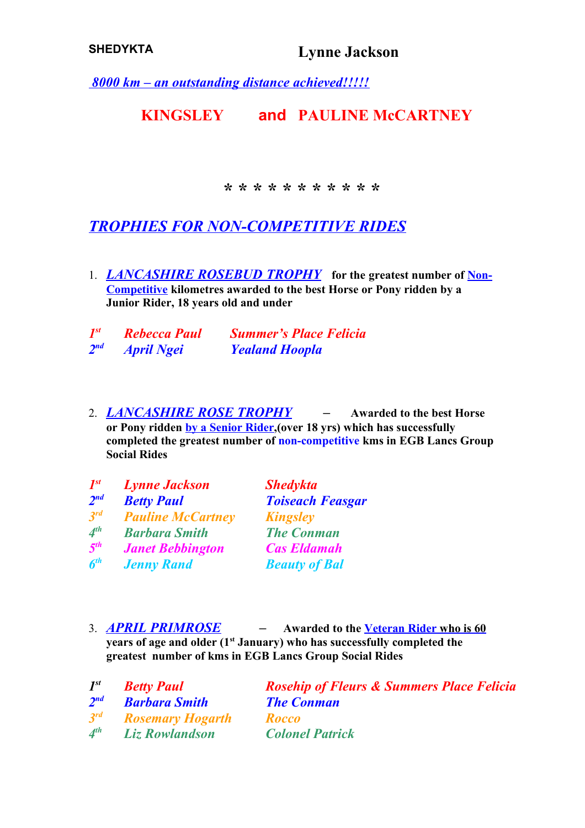*8000 km – an outstanding distance achieved!!!!!*

## **KINGSLEY and PAULINE McCARTNEY**

*\* \* \* \* \* \* \* \* \* \* \**

*TROPHIES FOR NON-COMPETITIVE RIDES*

1. *LANCASHIRE ROSEBUD TROPHY* **for the greatest number of Non-Competitive kilometres awarded to the best Horse or Pony ridden by a Junior Rider, 18 years old and under**

| $I^{st}$ | <b>Rebecca Paul</b> | <b>Summer's Place Felicia</b> |
|----------|---------------------|-------------------------------|
| $2^{nd}$ | <b>April Ngei</b>   | <b>Yealand Hoopla</b>         |

2. *LANCASHIRE ROSE TROPHY –* **Awarded to the best Horse or Pony ridden by a Senior Rider,(over 18 yrs) which has successfully completed the greatest number of non-competitive kms in EGB Lancs Group Social Rides**

| $I^{st}$        | <b>Lynne Jackson</b>     | <b>Shedykta</b>         |
|-----------------|--------------------------|-------------------------|
| 2 <sup>nd</sup> | <b>Betty Paul</b>        | <b>Toiseach Feasgar</b> |
| $3^{rd}$        | <b>Pauline McCartney</b> | <b>Kingsley</b>         |
| $4^{th}$        | <b>Barbara Smith</b>     | <b>The Conman</b>       |
| 5 <sup>th</sup> | <b>Janet Bebbington</b>  | <b>Cas Eldamah</b>      |
| 6 <sup>th</sup> | <b>Jenny Rand</b>        | <b>Beauty of Bal</b>    |

3. *APRIL PRIMROSE –* **Awarded to the Veteran Rider who is 60 years of age and older (1st January) who has successfully completed the greatest number of kms in EGB Lancs Group Social Rides**

| $I^{st}$        | <b>Betty Paul</b>       | <b>Rosehip of Fleurs &amp; Summers Place Felicia</b> |
|-----------------|-------------------------|------------------------------------------------------|
| $2^{nd}$        | <b>Barbara Smith</b>    | <b>The Conman</b>                                    |
| $3^{rd}$        | <b>Rosemary Hogarth</b> | <b>Rocco</b>                                         |
| A <sup>th</sup> | <b>Liz Rowlandson</b>   | <b>Colonel Patrick</b>                               |
|                 |                         |                                                      |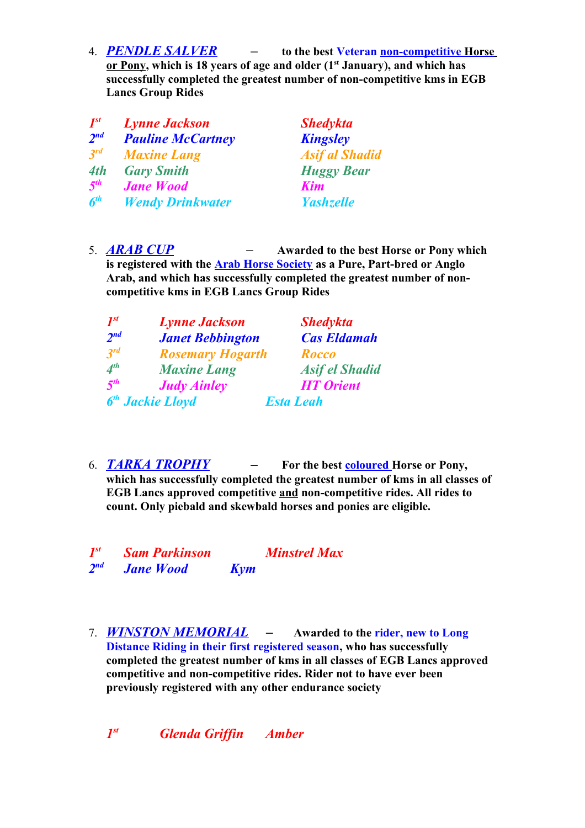4. *PENDLE SALVER –* **to the best Veteran non-competitive Horse or Pony, which is 18 years of age and older (1st January), and which has successfully completed the greatest number of non-competitive kms in EGB Lancs Group Rides**

| <b>Lynne Jackson</b>     | <b>Shedykta</b>       |
|--------------------------|-----------------------|
| <b>Pauline McCartney</b> | <b>Kingsley</b>       |
| <b>Maxine Lang</b>       | <b>Asif al Shadid</b> |
| <b>Gary Smith</b>        | <b>Huggy Bear</b>     |
| <b>Jane Wood</b>         | Kim                   |
| <b>Wendy Drinkwater</b>  | <b>Yashzelle</b>      |
|                          |                       |

5. *ARAB CUP –* **Awarded to the best Horse or Pony which is registered with the Arab Horse Society as a Pure, Part-bred or Anglo Arab, and which has successfully completed the greatest number of noncompetitive kms in EGB Lancs Group Rides**

| $\mathbf{I}^{st}$           | <b>Lynne Jackson</b>         | <b>Shedykta</b>       |
|-----------------------------|------------------------------|-----------------------|
| $2^{nd}$                    | <b>Janet Bebbington</b>      | <b>Cas Eldamah</b>    |
| $3^{rd}$                    | <b>Rosemary Hogarth</b>      | <b>Rocco</b>          |
| $\boldsymbol{\Lambda}^{th}$ | <b>Maxine Lang</b>           | <b>Asif el Shadid</b> |
| 5 <sup>th</sup>             | <b>Judy Ainley</b>           | <b>HT</b> Orient      |
|                             | 6 <sup>th</sup> Jackie Lloyd | <b>Esta Leah</b>      |

6. *TARKA TROPHY –* **For the best coloured Horse or Pony, which has successfully completed the greatest number of kms in all classes of EGB Lancs approved competitive and non-competitive rides. All rides to count. Only piebald and skewbald horses and ponies are eligible.**

| $I^{st}$ | <b>Sam Parkinson</b> |            | <b>Minstrel Max</b> |
|----------|----------------------|------------|---------------------|
| $2^{nd}$ | <b>Jane Wood</b>     | <b>Kym</b> |                     |

7. *WINSTON MEMORIAL –* **Awarded to the rider, new to Long Distance Riding in their first registered season, who has successfully completed the greatest number of kms in all classes of EGB Lancs approved competitive and non-competitive rides. Rider not to have ever been previously registered with any other endurance society** 

*1st st Glenda Griffin Amber*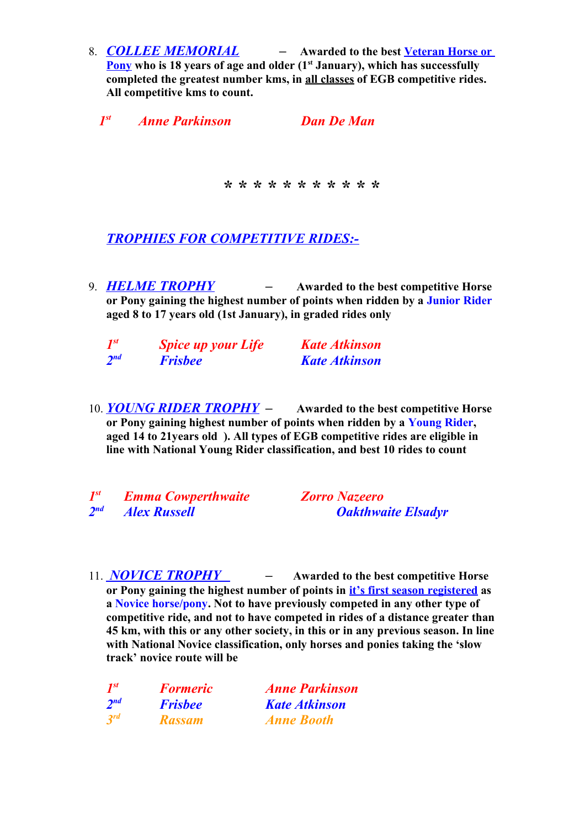8. *COLLEE MEMORIAL –* **Awarded to the best Veteran Horse or Pony who is 18 years of age and older (1st January), which has successfully completed the greatest number kms, in all classes of EGB competitive rides. All competitive kms to count.** 

 *1st Anne Parkinson Dan De Man*

*\* \* \* \* \* \* \* \* \* \* \**

### *TROPHIES FOR COMPETITIVE RIDES:-*

9. *HELME TROPHY –* **Awarded to the best competitive Horse or Pony gaining the highest number of points when ridden by a Junior Rider aged 8 to 17 years old (1st January), in graded rides only**

| $I^{st}$ | <b>Spice up your Life</b> | <b>Kate Atkinson</b> |
|----------|---------------------------|----------------------|
| $2^{nd}$ | <b>Frisbee</b>            | <b>Kate Atkinson</b> |

10. *YOUNG RIDER TROPHY –* **Awarded to the best competitive Horse or Pony gaining highest number of points when ridden by a Young Rider, aged 14 to 21years old ). All types of EGB competitive rides are eligible in line with National Young Rider classification, and best 10 rides to count**

*1 st Emma Cowperthwaite Zorro Nazeero*  $2<sub>nd</sub>$ 

*nd Alex Russell Oakthwaite Elsadyr*

11. *NOVICE TROPHY –* **Awarded to the best competitive Horse or Pony gaining the highest number of points in it's first season registered as a Novice horse/pony. Not to have previously competed in any other type of competitive ride, and not to have competed in rides of a distance greater than 45 km, with this or any other society, in this or in any previous season. In line with National Novice classification, only horses and ponies taking the 'slow track' novice route will be** 

| $I^{st}$        | <b>Formeric</b> | <b>Anne Parkinson</b> |
|-----------------|-----------------|-----------------------|
| 2 <sup>nd</sup> | <b>Frishee</b>  | <b>Kate Atkinson</b>  |
| $3^{rd}$        | <b>Rassam</b>   | <b>Anne Booth</b>     |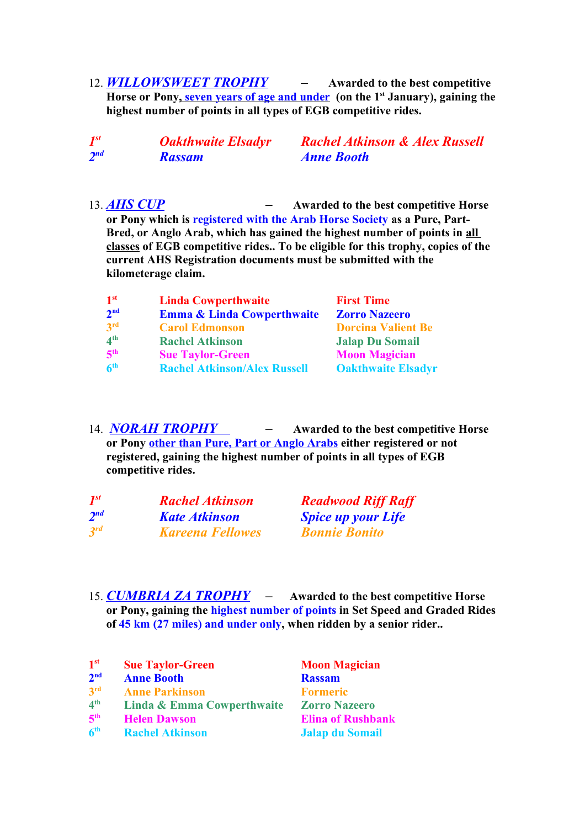12. *WILLOWSWEET TROPHY –* **Awarded to the best competitive**  Horse or Pony, seven years of age and under (on the 1<sup>st</sup> January), gaining the **highest number of points in all types of EGB competitive rides.** 

| $I^{st}$ | <b>Oakthwaite Elsadyr</b> | <b>Rachel Atkinson &amp; Alex Russell</b> |
|----------|---------------------------|-------------------------------------------|
| $2^{nd}$ | <b>Rassam</b>             | <b>Anne Booth</b>                         |

13. *AHS CUP –* **Awarded to the best competitive Horse or Pony which is registered with the Arab Horse Society as a Pure, Part-Bred, or Anglo Arab, which has gained the highest number of points in all classes of EGB competitive rides.. To be eligible for this trophy, copies of the current AHS Registration documents must be submitted with the kilometerage claim.**

| $\mathbf{1}^{\mathrm{st}}$ | <b>Linda Cowperthwaite</b>            | <b>First Time</b>         |
|----------------------------|---------------------------------------|---------------------------|
| 2 <sup>nd</sup>            | <b>Emma &amp; Linda Cowperthwaite</b> | <b>Zorro Nazeero</b>      |
| 3rd                        | <b>Carol Edmonson</b>                 | <b>Dorcina Valient Be</b> |
| 4 <sup>th</sup>            | <b>Rachel Atkinson</b>                | <b>Jalap Du Somail</b>    |
| 5 <sup>th</sup>            | <b>Sue Taylor-Green</b>               | <b>Moon Magician</b>      |
| 6 <sup>th</sup>            | <b>Rachel Atkinson/Alex Russell</b>   | <b>Oakthwaite Elsadyr</b> |

14. *NORAH TROPHY –* **Awarded to the best competitive Horse or Pony other than Pure, Part or Anglo Arabs either registered or not registered, gaining the highest number of points in all types of EGB competitive rides.** 

| $I^{st}$ | <b>Rachel Atkinson</b>  | <b>Readwood Riff Raff</b> |
|----------|-------------------------|---------------------------|
| $2^{nd}$ | <b>Kate Atkinson</b>    | <b>Spice up your Life</b> |
| $3^{rd}$ | <b>Kareena Fellowes</b> | <b>Bonnie Bonito</b>      |

15. *CUMBRIA ZA TROPHY –* **Awarded to the best competitive Horse or Pony, gaining the highest number of points in Set Speed and Graded Rides of 45 km (27 miles) and under only, when ridden by a senior rider..**

| 1 <sup>st</sup> | <b>Sue Taylor-Green</b>    | <b>Moon Magician</b>     |
|-----------------|----------------------------|--------------------------|
| 2 <sup>nd</sup> | <b>Anne Booth</b>          | <b>Rassam</b>            |
| 3 <sup>rd</sup> | <b>Anne Parkinson</b>      | <b>Formeric</b>          |
| 4 <sup>th</sup> | Linda & Emma Cowperthwaite | <b>Zorro Nazeero</b>     |
| 5 <sup>th</sup> | <b>Helen Dawson</b>        | <b>Elina of Rushbank</b> |
| 6 <sup>th</sup> | <b>Rachel Atkinson</b>     | <b>Jalap du Somail</b>   |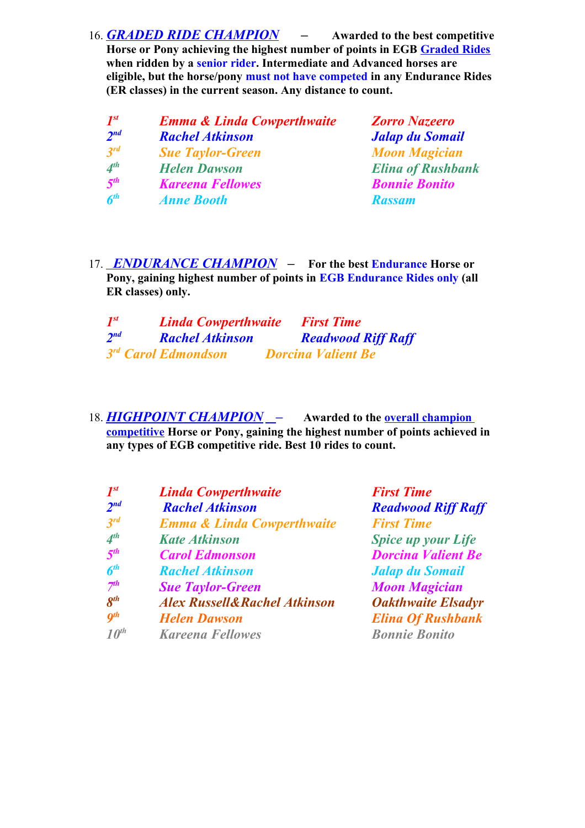16. *GRADED RIDE CHAMPION –* **Awarded to the best competitive Horse or Pony achieving the highest number of points in EGB Graded Rides when ridden by a senior rider. Intermediate and Advanced horses are eligible, but the horse/pony must not have competed in any Endurance Rides (ER classes) in the current season. Any distance to count.**

| $I^{st}$        | <b>Emma &amp; Linda Cowperthwaite</b> |  |
|-----------------|---------------------------------------|--|
| 2 <sup>nd</sup> | <b>Rachel Atkinson</b>                |  |
| $3^{rd}$        | <b>Sue Taylor-Green</b>               |  |
| 4 <sup>th</sup> | <b>Helen Dawson</b>                   |  |
| 5 <sup>th</sup> | <b>Kareena Fellowes</b>               |  |
| 6 <sup>th</sup> | <b>Anne Booth</b>                     |  |

*st Emma & Linda Cowperthwaite Zorro Nazeero*  $Jalap$  *du Somail Moon Magician Elina of Rushbank Bonnie Bonito th Anne Booth Rassam*

17. *ENDURANCE CHAMPION –* **For the best Endurance Horse or Pony, gaining highest number of points in EGB Endurance Rides only (all ER classes) only.** 

| $I^{st}$        | <b>Linda Cowperthwaite</b>      | <b>First Time</b>         |
|-----------------|---------------------------------|---------------------------|
| 2 <sup>nd</sup> | <b>Rachel Atkinson</b>          | <b>Readwood Riff Raff</b> |
|                 | 3 <sup>rd</sup> Carol Edmondson | <b>Dorcina Valient Be</b> |

18. *HIGHPOINT CHAMPION –* **Awarded to the overall champion competitive Horse or Pony, gaining the highest number of points achieved in any types of EGB competitive ride. Best 10 rides to count.**

| $\mathbf{I}^{st}$     | <b>Linda Cowperthwaite</b>              | <b>First Time</b>         |
|-----------------------|-----------------------------------------|---------------------------|
| 2 <sup>nd</sup>       | <b>Rachel Atkinson</b>                  | <b>Readwood Riff Raff</b> |
| $3^{rd}$              | <b>Emma &amp; Linda Cowperthwaite</b>   | <b>First Time</b>         |
| $\boldsymbol{A}^{th}$ | <b>Kate Atkinson</b>                    | <b>Spice up your Life</b> |
| 5 <sup>th</sup>       | <b>Carol Edmonson</b>                   | <b>Dorcina Valient Be</b> |
| 6 <sup>th</sup>       | <b>Rachel Atkinson</b>                  | <b>Jalap du Somail</b>    |
| 7 <sup>th</sup>       | <b>Sue Taylor-Green</b>                 | <b>Moon Magician</b>      |
| $\mathbf{R}^{th}$     | <b>Alex Russell&amp;Rachel Atkinson</b> | <b>Oakthwaite Elsadyr</b> |
| $q^{th}$              | <b>Helen Dawson</b>                     | <b>Elina Of Rushbank</b>  |
| $10^{th}$             | <b>Kareena Fellowes</b>                 | <b>Bonnie Bonito</b>      |